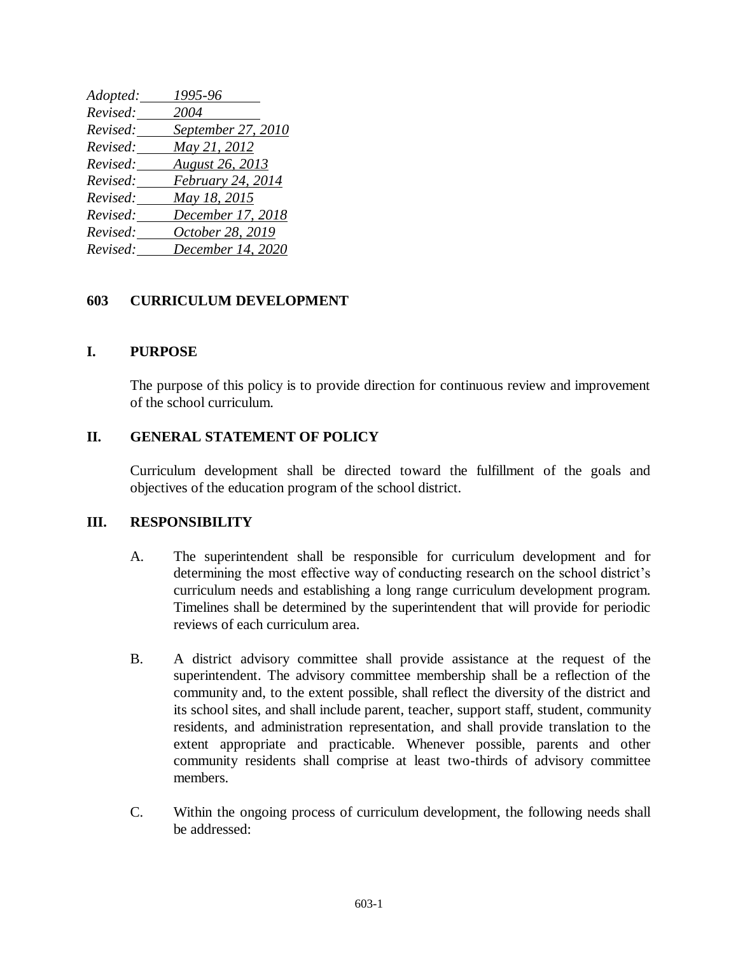| Adopted: | 1995-96            |
|----------|--------------------|
| Revised: | 2004               |
| Revised: | September 27, 2010 |
| Revised: | May 21, 2012       |
| Revised: | August 26, 2013    |
| Revised: | February 24, 2014  |
| Revised: | May 18, 2015       |
| Revised: | December 17, 2018  |
| Revised: | October 28, 2019   |
| Revised: | December 14, 2020  |

## **603 CURRICULUM DEVELOPMENT**

## **I. PURPOSE**

The purpose of this policy is to provide direction for continuous review and improvement of the school curriculum.

## **II. GENERAL STATEMENT OF POLICY**

Curriculum development shall be directed toward the fulfillment of the goals and objectives of the education program of the school district.

## **III. RESPONSIBILITY**

- A. The superintendent shall be responsible for curriculum development and for determining the most effective way of conducting research on the school district's curriculum needs and establishing a long range curriculum development program. Timelines shall be determined by the superintendent that will provide for periodic reviews of each curriculum area.
- B. A district advisory committee shall provide assistance at the request of the superintendent. The advisory committee membership shall be a reflection of the community and, to the extent possible, shall reflect the diversity of the district and its school sites, and shall include parent, teacher, support staff, student, community residents, and administration representation, and shall provide translation to the extent appropriate and practicable. Whenever possible, parents and other community residents shall comprise at least two-thirds of advisory committee members.
- C. Within the ongoing process of curriculum development, the following needs shall be addressed: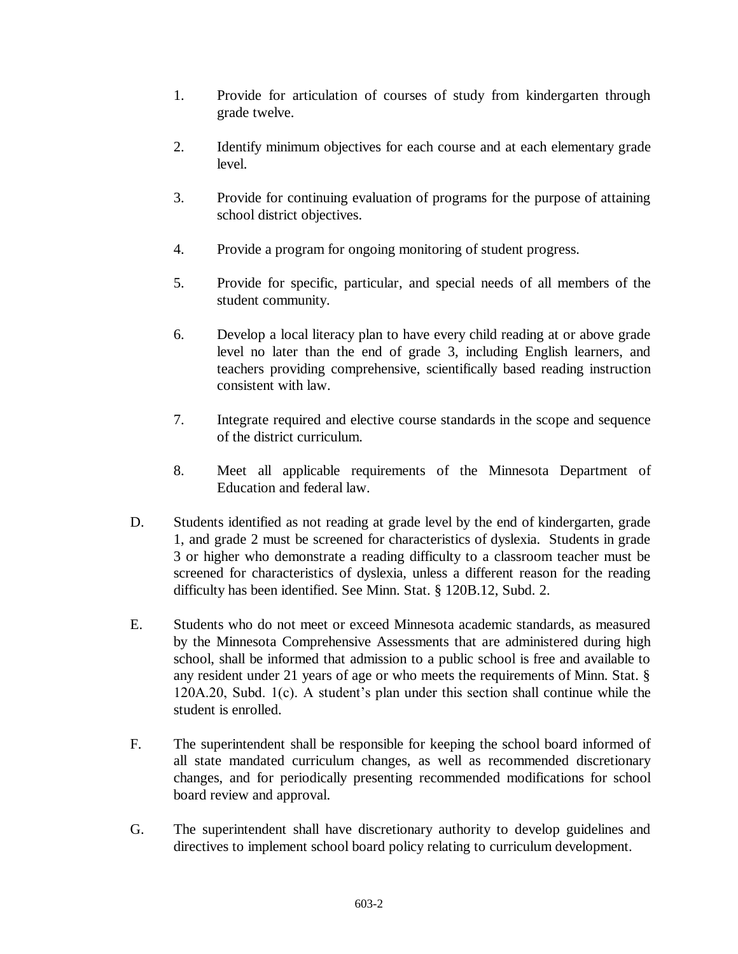- 1. Provide for articulation of courses of study from kindergarten through grade twelve.
- 2. Identify minimum objectives for each course and at each elementary grade level.
- 3. Provide for continuing evaluation of programs for the purpose of attaining school district objectives.
- 4. Provide a program for ongoing monitoring of student progress.
- 5. Provide for specific, particular, and special needs of all members of the student community.
- 6. Develop a local literacy plan to have every child reading at or above grade level no later than the end of grade 3, including English learners, and teachers providing comprehensive, scientifically based reading instruction consistent with law.
- 7. Integrate required and elective course standards in the scope and sequence of the district curriculum.
- 8. Meet all applicable requirements of the Minnesota Department of Education and federal law.
- D. Students identified as not reading at grade level by the end of kindergarten, grade 1, and grade 2 must be screened for characteristics of dyslexia. Students in grade 3 or higher who demonstrate a reading difficulty to a classroom teacher must be screened for characteristics of dyslexia, unless a different reason for the reading difficulty has been identified. See Minn. Stat. § 120B.12, Subd. 2.
- E. Students who do not meet or exceed Minnesota academic standards, as measured by the Minnesota Comprehensive Assessments that are administered during high school, shall be informed that admission to a public school is free and available to any resident under 21 years of age or who meets the requirements of Minn. Stat. § 120A.20, Subd. 1(c). A student's plan under this section shall continue while the student is enrolled.
- F. The superintendent shall be responsible for keeping the school board informed of all state mandated curriculum changes, as well as recommended discretionary changes, and for periodically presenting recommended modifications for school board review and approval.
- G. The superintendent shall have discretionary authority to develop guidelines and directives to implement school board policy relating to curriculum development.